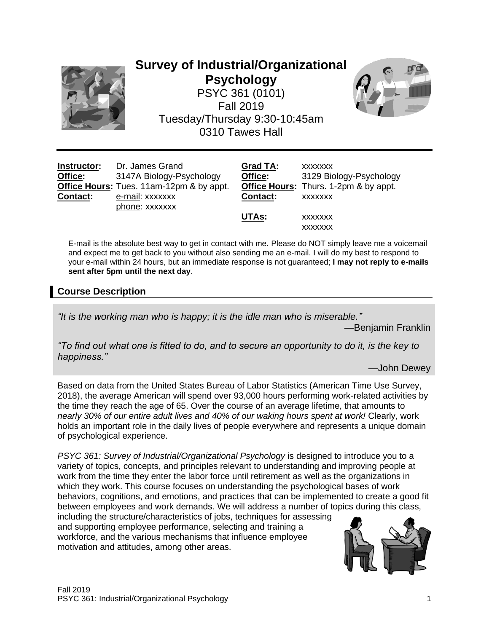

# **Survey of Industrial/Organizational Psychology** PSYC 361 (0101) Fall 2019 Tuesday/Thursday 9:30-10:45am 0310 Tawes Hall



| Instructor:     | Dr. James Grand                          | Grad TA:        | <b>XXXXXXX</b>                        |
|-----------------|------------------------------------------|-----------------|---------------------------------------|
| Office:         | 3147A Biology-Psychology                 | Office:         | 3129 Biology-Psychology               |
|                 | Office Hours: Tues. 11am-12pm & by appt. |                 | Office Hours: Thurs. 1-2pm & by appt. |
| <b>Contact:</b> | e-mail: xxxxxxx                          | <b>Contact:</b> | <b>XXXXXXX</b>                        |
|                 | phone: xxxxxxx                           |                 |                                       |
|                 |                                          | UTAs:           | <b>XXXXXXX</b>                        |
|                 |                                          |                 | <b>XXXXXXX</b>                        |

E-mail is the absolute best way to get in contact with me. Please do NOT simply leave me a voicemail and expect me to get back to you without also sending me an e-mail. I will do my best to respond to your e-mail within 24 hours, but an immediate response is not guaranteed; **I may not reply to e-mails sent after 5pm until the next day**.

# **Course Description**

*"It is the working man who is happy; it is the idle man who is miserable."*

—Benjamin Franklin

*"To find out what one is fitted to do, and to secure an opportunity to do it, is the key to happiness."*

—John Dewey

Based on data from the United States Bureau of Labor Statistics (American Time Use Survey, 2018), the average American will spend over 93,000 hours performing work-related activities by the time they reach the age of 65. Over the course of an average lifetime, that amounts to *nearly 30% of our entire adult lives and 40% of our waking hours spent at work!* Clearly, work holds an important role in the daily lives of people everywhere and represents a unique domain of psychological experience.

*PSYC 361: Survey of Industrial/Organizational Psychology* is designed to introduce you to a variety of topics, concepts, and principles relevant to understanding and improving people at work from the time they enter the labor force until retirement as well as the organizations in which they work. This course focuses on understanding the psychological bases of work behaviors, cognitions, and emotions, and practices that can be implemented to create a good fit between employees and work demands. We will address a number of topics during this class,

including the structure/characteristics of jobs, techniques for assessing and supporting employee performance, selecting and training a workforce, and the various mechanisms that influence employee motivation and attitudes, among other areas.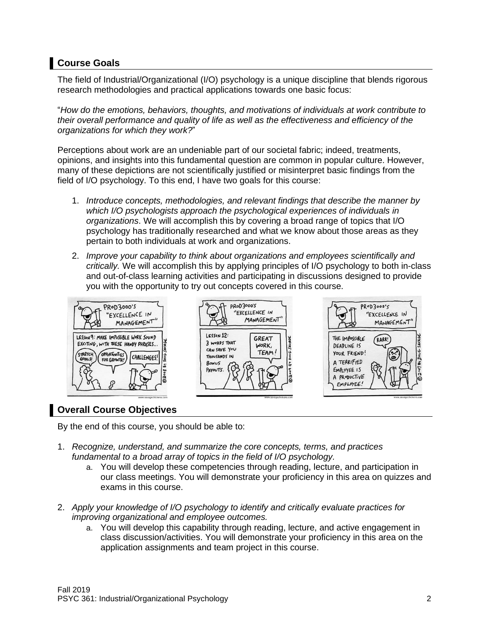# **Course Goals**

The field of Industrial/Organizational (I/O) psychology is a unique discipline that blends rigorous research methodologies and practical applications towards one basic focus:

"*How do the emotions, behaviors, thoughts, and motivations of individuals at work contribute to their overall performance and quality of life as well as the effectiveness and efficiency of the organizations for which they work?*"

Perceptions about work are an undeniable part of our societal fabric; indeed, treatments, opinions, and insights into this fundamental question are common in popular culture. However, many of these depictions are not scientifically justified or misinterpret basic findings from the field of I/O psychology. To this end, I have two goals for this course:

- 1. *Introduce concepts, methodologies, and relevant findings that describe the manner by which I/O psychologists approach the psychological experiences of individuals in organizations*. We will accomplish this by covering a broad range of topics that I/O psychology has traditionally researched and what we know about those areas as they pertain to both individuals at work and organizations.
- 2. *Improve your capability to think about organizations and employees scientifically and critically.* We will accomplish this by applying principles of I/O psychology to both in-class and out-of-class learning activities and participating in discussions designed to provide you with the opportunity to try out concepts covered in this course.



# **Overall Course Objectives**

By the end of this course, you should be able to:

- 1. *Recognize, understand, and summarize the core concepts, terms, and practices fundamental to a broad array of topics in the field of I/O psychology.* 
	- a. You will develop these competencies through reading, lecture, and participation in our class meetings. You will demonstrate your proficiency in this area on quizzes and exams in this course.
- 2. *Apply your knowledge of I/O psychology to identify and critically evaluate practices for improving organizational and employee outcomes.*
	- a. You will develop this capability through reading, lecture, and active engagement in class discussion/activities. You will demonstrate your proficiency in this area on the application assignments and team project in this course.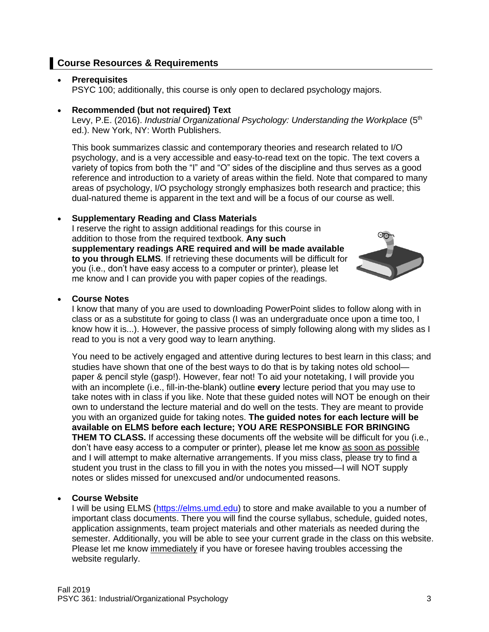# **Course Resources & Requirements**

### • **Prerequisites**

PSYC 100; additionally, this course is only open to declared psychology majors.

#### • **Recommended (but not required) Text**

Levy, P.E. (2016). *Industrial Organizational Psychology: Understanding the Workplace* (5<sup>th</sup> ed.). New York, NY: Worth Publishers.

This book summarizes classic and contemporary theories and research related to I/O psychology, and is a very accessible and easy-to-read text on the topic. The text covers a variety of topics from both the "I" and "O" sides of the discipline and thus serves as a good reference and introduction to a variety of areas within the field. Note that compared to many areas of psychology, I/O psychology strongly emphasizes both research and practice; this dual-natured theme is apparent in the text and will be a focus of our course as well.

### • **Supplementary Reading and Class Materials**

I reserve the right to assign additional readings for this course in addition to those from the required textbook. **Any such supplementary readings ARE required and will be made available to you through ELMS**. If retrieving these documents will be difficult for you (i.e., don't have easy access to a computer or printer), please let me know and I can provide you with paper copies of the readings.



#### • **Course Notes**

I know that many of you are used to downloading PowerPoint slides to follow along with in class or as a substitute for going to class (I was an undergraduate once upon a time too, I know how it is...). However, the passive process of simply following along with my slides as I read to you is not a very good way to learn anything.

You need to be actively engaged and attentive during lectures to best learn in this class; and studies have shown that one of the best ways to do that is by taking notes old school paper & pencil style (gasp!). However, fear not! To aid your notetaking, I will provide you with an incomplete (i.e., fill-in-the-blank) outline **every** lecture period that you may use to take notes with in class if you like. Note that these guided notes will NOT be enough on their own to understand the lecture material and do well on the tests. They are meant to provide you with an organized guide for taking notes. **The guided notes for each lecture will be available on ELMS before each lecture; YOU ARE RESPONSIBLE FOR BRINGING THEM TO CLASS.** If accessing these documents off the website will be difficult for you (i.e., don't have easy access to a computer or printer), please let me know as soon as possible and I will attempt to make alternative arrangements. If you miss class, please try to find a student you trust in the class to fill you in with the notes you missed—I will NOT supply notes or slides missed for unexcused and/or undocumented reasons.

### • **Course Website**

I will be using ELMS [\(https://elms.umd.edu\)](https://elms.umd.edu/) to store and make available to you a number of important class documents. There you will find the course syllabus, schedule, guided notes, application assignments, team project materials and other materials as needed during the semester. Additionally, you will be able to see your current grade in the class on this website. Please let me know immediately if you have or foresee having troubles accessing the website regularly.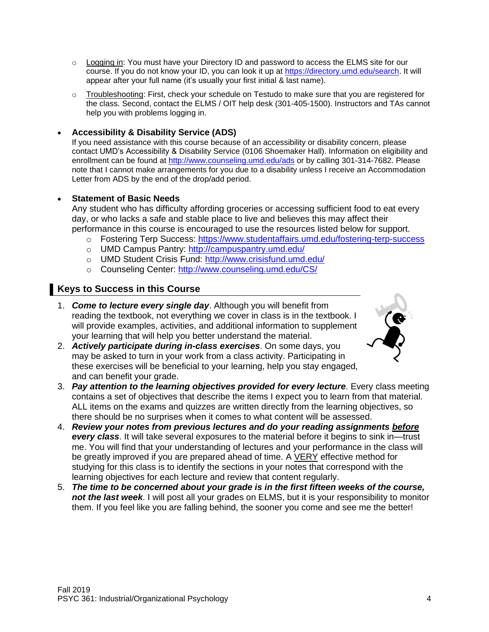- o Logging in: You must have your Directory ID and password to access the ELMS site for our course. If you do not know your ID, you can look it up at [https://directory.umd.edu/search.](https://directory.umd.edu/search) It will appear after your full name (it's usually your first initial & last name).
- o Troubleshooting: First, check your schedule on Testudo to make sure that you are registered for the class. Second, contact the ELMS / OIT help desk (301-405-1500). Instructors and TAs cannot help you with problems logging in.

### • **Accessibility & Disability Service (ADS)**

If you need assistance with this course because of an accessibility or disability concern, please contact UMD's Accessibility & Disability Service (0106 Shoemaker Hall). Information on eligibility and enrollment can be found at<http://www.counseling.umd.edu/ads> or by calling 301-314-7682. Please note that I cannot make arrangements for you due to a disability unless I receive an Accommodation Letter from ADS by the end of the drop/add period.

### • **Statement of Basic Needs**

Any student who has difficulty affording groceries or accessing sufficient food to eat every day, or who lacks a safe and stable place to live and believes this may affect their performance in this course is encouraged to use the resources listed below for support.

- o Fostering Terp Success:<https://www.studentaffairs.umd.edu/fostering-terp-success>
- o UMD Campus Pantry:<http://campuspantry.umd.edu/>
- o UMD Student Crisis Fund:<http://www.crisisfund.umd.edu/>
- o Counseling Center:<http://www.counseling.umd.edu/CS/>

## **Keys to Success in this Course**

1. *Come to lecture every single day*. Although you will benefit from reading the textbook, not everything we cover in class is in the textbook. I will provide examples, activities, and additional information to supplement your learning that will help you better understand the material.



- 2. *Actively participate during in-class exercises*. On some days, you may be asked to turn in your work from a class activity. Participating in these exercises will be beneficial to your learning, help you stay engaged, and can benefit your grade.
- 3. *Pay attention to the learning objectives provided for every lecture*. Every class meeting contains a set of objectives that describe the items I expect you to learn from that material. ALL items on the exams and quizzes are written directly from the learning objectives, so there should be no surprises when it comes to what content will be assessed.
- 4. *Review your notes from previous lectures and do your reading assignments before every class*. It will take several exposures to the material before it begins to sink in—trust me. You will find that your understanding of lectures and your performance in the class will be greatly improved if you are prepared ahead of time. A VERY effective method for studying for this class is to identify the sections in your notes that correspond with the learning objectives for each lecture and review that content regularly.
- 5. *The time to be concerned about your grade is in the first fifteen weeks of the course, not the last week*. I will post all your grades on ELMS, but it is your responsibility to monitor them. If you feel like you are falling behind, the sooner you come and see me the better!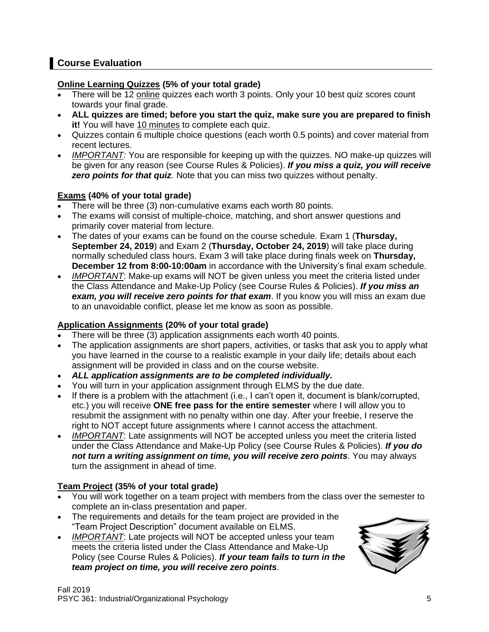# **Course Evaluation**

## **Online Learning Quizzes (5% of your total grade)**

- There will be 12 online quizzes each worth 3 points. Only your 10 best quiz scores count towards your final grade.
- **ALL quizzes are timed; before you start the quiz, make sure you are prepared to finish it!** You will have 10 minutes to complete each quiz.
- Quizzes contain 6 multiple choice questions (each worth 0.5 points) and cover material from recent lectures.
- *IMPORTANT:* You are responsible for keeping up with the quizzes. NO make-up quizzes will be given for any reason (see Course Rules & Policies). *If you miss a quiz, you will receive*  **zero points for that quiz**. Note that you can miss two quizzes without penalty.

## **Exams (40% of your total grade)**

- There will be three (3) non-cumulative exams each worth 80 points.
- The exams will consist of multiple-choice, matching, and short answer questions and primarily cover material from lecture.
- The dates of your exams can be found on the course schedule*.* Exam 1 (**Thursday, September 24, 2019**) and Exam 2 (**Thursday, October 24, 2019**) will take place during normally scheduled class hours. Exam 3 will take place during finals week on **Thursday, December 12 from 8:00-10:00am** in accordance with the University's final exam schedule.
- *IMPORTANT*: Make-up exams will NOT be given unless you meet the criteria listed under the Class Attendance and Make-Up Policy (see Course Rules & Policies). *If you miss an exam, you will receive zero points for that exam*. If you know you will miss an exam due to an unavoidable conflict, please let me know as soon as possible.

# **Application Assignments (20% of your total grade)**

- There will be three (3) application assignments each worth 40 points.
- The application assignments are short papers, activities, or tasks that ask you to apply what you have learned in the course to a realistic example in your daily life; details about each assignment will be provided in class and on the course website.
- *ALL application assignments are to be completed individually.*
- You will turn in your application assignment through ELMS by the due date.
- If there is a problem with the attachment (i.e., I can't open it, document is blank/corrupted, etc.) you will receive **ONE free pass for the entire semester** where I will allow you to resubmit the assignment with no penalty within one day. After your freebie, I reserve the right to NOT accept future assignments where I cannot access the attachment.
- *IMPORTANT*: Late assignments will NOT be accepted unless you meet the criteria listed under the Class Attendance and Make-Up Policy (see Course Rules & Policies). *If you do not turn a writing assignment on time, you will receive zero points*. You may always turn the assignment in ahead of time.

## **Team Project (35% of your total grade)**

- You will work together on a team project with members from the class over the semester to complete an in-class presentation and paper.
- The requirements and details for the team project are provided in the "Team Project Description" document available on ELMS.
- *IMPORTANT*: Late projects will NOT be accepted unless your team meets the criteria listed under the Class Attendance and Make-Up Policy (see Course Rules & Policies). *If your team fails to turn in the team project on time, you will receive zero points*.

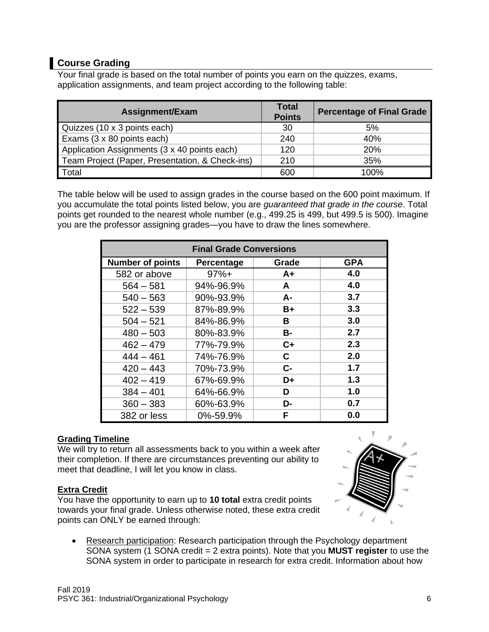# **Course Grading**

Your final grade is based on the total number of points you earn on the quizzes, exams, application assignments, and team project according to the following table:

| Assignment/Exam                                 | <b>Total</b><br><b>Points</b> | <b>Percentage of Final Grade</b> |
|-------------------------------------------------|-------------------------------|----------------------------------|
| Quizzes (10 x 3 points each)                    | 30                            | 5%                               |
| Exams (3 x 80 points each)                      | 240                           | 40%                              |
| Application Assignments (3 x 40 points each)    | 120                           | 20%                              |
| Team Project (Paper, Presentation, & Check-ins) | 210                           | 35%                              |
| Total                                           | 600                           | 100%                             |

The table below will be used to assign grades in the course based on the 600 point maximum. If you accumulate the total points listed below, you are *guaranteed that grade in the course*. Total points get rounded to the nearest whole number (e.g., 499.25 is 499, but 499.5 is 500). Imagine you are the professor assigning grades—you have to draw the lines somewhere.

| <b>Final Grade Conversions</b> |            |       |            |  |  |
|--------------------------------|------------|-------|------------|--|--|
| <b>Number of points</b>        | Percentage | Grade | <b>GPA</b> |  |  |
| 582 or above                   | $97%+$     | $A+$  | 4.0        |  |  |
| $564 - 581$                    | 94%-96.9%  | A     | 4.0        |  |  |
| $540 - 563$                    | 90%-93.9%  | $A -$ | 3.7        |  |  |
| $522 - 539$                    | 87%-89.9%  | $B+$  | 3.3        |  |  |
| $504 - 521$                    | 84%-86.9%  | В     | 3.0        |  |  |
| $480 - 503$                    | 80%-83.9%  | B-    | 2.7        |  |  |
| $462 - 479$                    | 77%-79.9%  | $C+$  | 2.3        |  |  |
| $444 - 461$                    | 74%-76.9%  | C     | 2.0        |  |  |
| $420 - 443$                    | 70%-73.9%  | $C-$  | 1.7        |  |  |
| $402 - 419$                    | 67%-69.9%  | D+    | 1.3        |  |  |
| $384 - 401$                    | 64%-66.9%  | D     | 1.0        |  |  |
| $360 - 383$                    | 60%-63.9%  | D-    | 0.7        |  |  |
| 382 or less                    | 0%-59.9%   | F     | 0.0        |  |  |

## **Grading Timeline**

We will try to return all assessments back to you within a week after their completion. If there are circumstances preventing our ability to meet that deadline, I will let you know in class.

## **Extra Credit**

You have the opportunity to earn up to **10 total** extra credit points towards your final grade. Unless otherwise noted, these extra credit points can ONLY be earned through:



• Research participation: Research participation through the Psychology department SONA system (1 SONA credit = 2 extra points). Note that you **MUST register** to use the SONA system in order to participate in research for extra credit. Information about how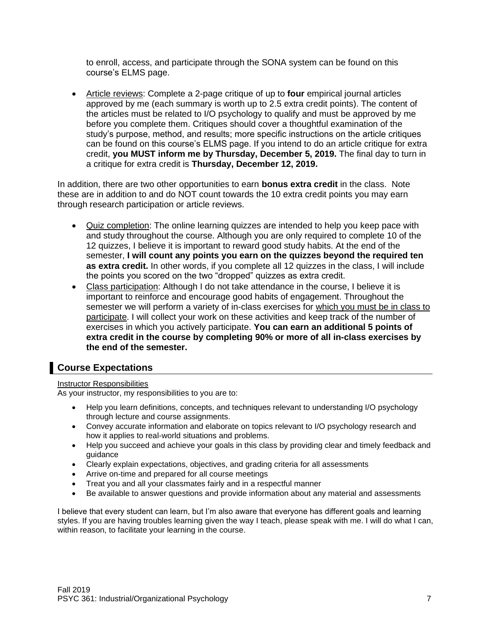to enroll, access, and participate through the SONA system can be found on this course's ELMS page.

• Article reviews: Complete a 2-page critique of up to **four** empirical journal articles approved by me (each summary is worth up to 2.5 extra credit points). The content of the articles must be related to I/O psychology to qualify and must be approved by me before you complete them. Critiques should cover a thoughtful examination of the study's purpose, method, and results; more specific instructions on the article critiques can be found on this course's ELMS page. If you intend to do an article critique for extra credit, **you MUST inform me by Thursday, December 5, 2019.** The final day to turn in a critique for extra credit is **Thursday, December 12, 2019.**

In addition, there are two other opportunities to earn **bonus extra credit** in the class. Note these are in addition to and do NOT count towards the 10 extra credit points you may earn through research participation or article reviews.

- Quiz completion: The online learning quizzes are intended to help you keep pace with and study throughout the course. Although you are only required to complete 10 of the 12 quizzes, I believe it is important to reward good study habits. At the end of the semester, **I will count any points you earn on the quizzes beyond the required ten as extra credit.** In other words, if you complete all 12 quizzes in the class, I will include the points you scored on the two "dropped" quizzes as extra credit.
- Class participation: Although I do not take attendance in the course, I believe it is important to reinforce and encourage good habits of engagement. Throughout the semester we will perform a variety of in-class exercises for which you must be in class to participate. I will collect your work on these activities and keep track of the number of exercises in which you actively participate. **You can earn an additional 5 points of extra credit in the course by completing 90% or more of all in-class exercises by the end of the semester.**

# **Course Expectations**

### Instructor Responsibilities

As your instructor, my responsibilities to you are to:

- Help you learn definitions, concepts, and techniques relevant to understanding I/O psychology through lecture and course assignments.
- Convey accurate information and elaborate on topics relevant to I/O psychology research and how it applies to real-world situations and problems.
- Help you succeed and achieve your goals in this class by providing clear and timely feedback and guidance
- Clearly explain expectations, objectives, and grading criteria for all assessments
- Arrive on-time and prepared for all course meetings
- Treat you and all your classmates fairly and in a respectful manner
- Be available to answer questions and provide information about any material and assessments

I believe that every student can learn, but I'm also aware that everyone has different goals and learning styles. If you are having troubles learning given the way I teach, please speak with me. I will do what I can, within reason, to facilitate your learning in the course.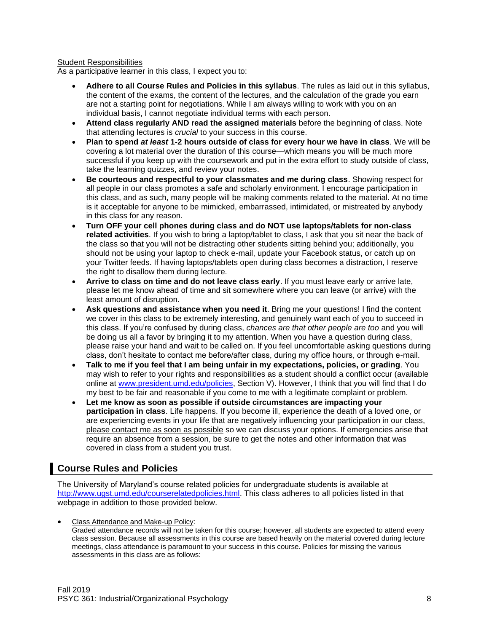#### Student Responsibilities

As a participative learner in this class, I expect you to:

- **Adhere to all Course Rules and Policies in this syllabus**. The rules as laid out in this syllabus, the content of the exams, the content of the lectures, and the calculation of the grade you earn are not a starting point for negotiations. While I am always willing to work with you on an individual basis, I cannot negotiate individual terms with each person.
- **Attend class regularly AND read the assigned materials** before the beginning of class. Note that attending lectures is *crucial* to your success in this course.
- **Plan to spend** *at least* **1-2 hours outside of class for every hour we have in class**. We will be covering a lot material over the duration of this course—which means you will be much more successful if you keep up with the coursework and put in the extra effort to study outside of class, take the learning quizzes, and review your notes.
- **Be courteous and respectful to your classmates and me during class**. Showing respect for all people in our class promotes a safe and scholarly environment. I encourage participation in this class, and as such, many people will be making comments related to the material. At no time is it acceptable for anyone to be mimicked, embarrassed, intimidated, or mistreated by anybody in this class for any reason.
- **Turn OFF your cell phones during class and do NOT use laptops/tablets for non-class related activities**. If you wish to bring a laptop/tablet to class, I ask that you sit near the back of the class so that you will not be distracting other students sitting behind you; additionally, you should not be using your laptop to check e-mail, update your Facebook status, or catch up on your Twitter feeds. If having laptops/tablets open during class becomes a distraction, I reserve the right to disallow them during lecture.
- **Arrive to class on time and do not leave class early**. If you must leave early or arrive late, please let me know ahead of time and sit somewhere where you can leave (or arrive) with the least amount of disruption.
- **Ask questions and assistance when you need it**. Bring me your questions! I find the content we cover in this class to be extremely interesting, and genuinely want each of you to succeed in this class. If you're confused by during class, *chances are that other people are too* and you will be doing us all a favor by bringing it to my attention. When you have a question during class, please raise your hand and wait to be called on. If you feel uncomfortable asking questions during class, don't hesitate to contact me before/after class, during my office hours, or through e-mail.
- **Talk to me if you feel that I am being unfair in my expectations, policies, or grading**. You may wish to refer to your rights and responsibilities as a student should a conflict occur (available online at [www.president.umd.edu/policies,](http://www.president.umd.edu/policies) Section V). However, I think that you will find that I do my best to be fair and reasonable if you come to me with a legitimate complaint or problem.
- **Let me know as soon as possible if outside circumstances are impacting your participation in class**. Life happens. If you become ill, experience the death of a loved one, or are experiencing events in your life that are negatively influencing your participation in our class, please contact me as soon as possible so we can discuss your options. If emergencies arise that require an absence from a session, be sure to get the notes and other information that was covered in class from a student you trust.

# **Course Rules and Policies**

The University of Maryland's course related policies for undergraduate students is available at [http://www.ugst.umd.edu/courserelatedpolicies.html.](http://www.ugst.umd.edu/courserelatedpolicies.html) This class adheres to all policies listed in that webpage in addition to those provided below.

• Class Attendance and Make-up Policy:

Graded attendance records will not be taken for this course; however, all students are expected to attend every class session. Because all assessments in this course are based heavily on the material covered during lecture meetings, class attendance is paramount to your success in this course. Policies for missing the various assessments in this class are as follows: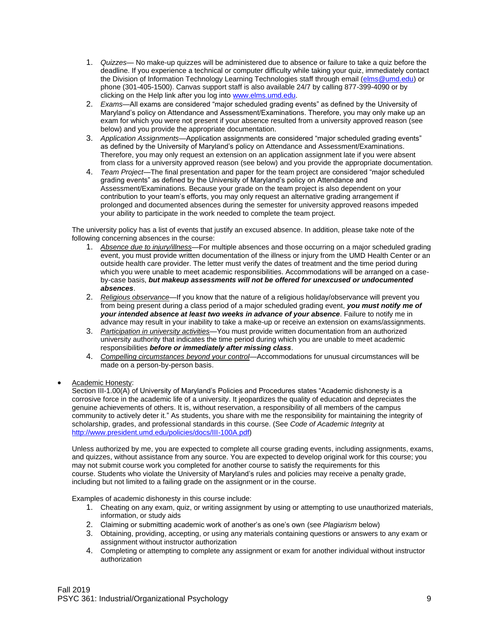- 1. *Quizzes* No make-up quizzes will be administered due to absence or failure to take a quiz before the deadline. If you experience a technical or computer difficulty while taking your quiz, immediately contact the Division of Information Technology Learning Technologies staff through email [\(elms@umd.edu\)](mailto:elms@umd.edu) or phone (301-405-1500). Canvas support staff is also available 24/7 by calling 877-399-4090 or by clicking on the Help link after you log into [www.elms.umd.edu.](http://www.elms.umd.edu/)
- 2. *Exams*—All exams are considered "major scheduled grading events" as defined by the University of Maryland's policy on Attendance and Assessment/Examinations. Therefore, you may only make up an exam for which you were not present if your absence resulted from a university approved reason (see below) and you provide the appropriate documentation.
- 3. *Application Assignments*—Application assignments are considered "major scheduled grading events" as defined by the University of Maryland's policy on Attendance and Assessment/Examinations. Therefore, you may only request an extension on an application assignment late if you were absent from class for a university approved reason (see below) and you provide the appropriate documentation.
- 4. *Team Project*—The final presentation and paper for the team project are considered "major scheduled grading events" as defined by the University of Maryland's policy on Attendance and Assessment/Examinations. Because your grade on the team project is also dependent on your contribution to your team's efforts, you may only request an alternative grading arrangement if prolonged and documented absences during the semester for university approved reasons impeded your ability to participate in the work needed to complete the team project.

The university policy has a list of events that justify an excused absence. In addition, please take note of the following concerning absences in the course:

- 1. *Absence due to injury/illness—*For multiple absences and those occurring on a major scheduled grading event, you must provide written documentation of the illness or injury from the UMD Health Center or an outside health care provider. The letter must verify the dates of treatment and the time period during which you were unable to meet academic responsibilities. Accommodations will be arranged on a caseby-case basis, *but makeup assessments will not be offered for unexcused or undocumented absences*.
- 2. *Religious observance*—If you know that the nature of a religious holiday/observance will prevent you from being present during a class period of a major scheduled grading event, *you must notify me of your intended absence at least two weeks in advance of your absence*. Failure to notify me in advance may result in your inability to take a make-up or receive an extension on exams/assignments.
- 3. *Participation in university activities*—You must provide written documentation from an authorized university authority that indicates the time period during which you are unable to meet academic responsibilities *before or immediately after missing class*.
- 4. *Compelling circumstances beyond your control*—Accommodations for unusual circumstances will be made on a person-by-person basis.
- Academic Honesty:

Section III-1.00(A) of University of Maryland's Policies and Procedures states "Academic dishonesty is a corrosive force in the academic life of a university. It jeopardizes the quality of education and depreciates the genuine achievements of others. It is, without reservation, a responsibility of all members of the campus community to actively deter it." As students, you share with me the responsibility for maintaining the integrity of scholarship, grades, and professional standards in this course. (See *Code of Academic Integrity* at [http://www.president.umd.edu/policies/docs/III-100A.pdf\)](http://www.president.umd.edu/policies/docs/III-100A.pdf)

Unless authorized by me, you are expected to complete all course grading events, including assignments, exams, and quizzes, without assistance from any source. You are expected to develop original work for this course; you may not submit course work you completed for another course to satisfy the requirements for this course. Students who violate the University of Maryland's rules and policies may receive a penalty grade, including but not limited to a failing grade on the assignment or in the course.

Examples of academic dishonesty in this course include:

- 1. Cheating on any exam, quiz, or writing assignment by using or attempting to use unauthorized materials, information, or study aids
- 2. Claiming or submitting academic work of another's as one's own (see *Plagiarism* below)
- 3. Obtaining, providing, accepting, or using any materials containing questions or answers to any exam or assignment without instructor authorization
- 4. Completing or attempting to complete any assignment or exam for another individual without instructor authorization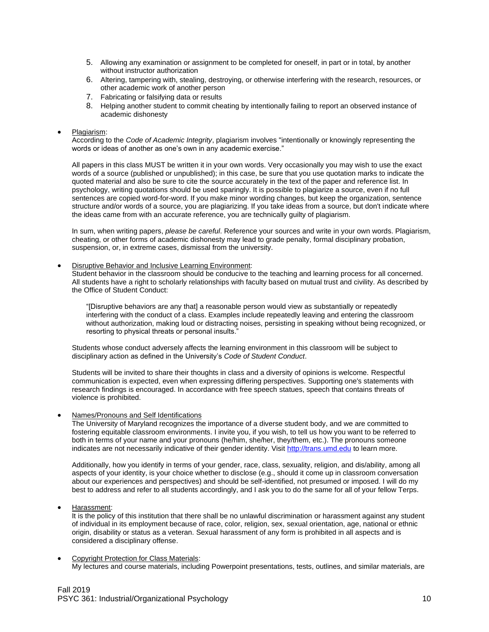- 5. Allowing any examination or assignment to be completed for oneself, in part or in total, by another without instructor authorization
- 6. Altering, tampering with, stealing, destroying, or otherwise interfering with the research, resources, or other academic work of another person
- 7. Fabricating or falsifying data or results
- 8. Helping another student to commit cheating by intentionally failing to report an observed instance of academic dishonesty

#### • Plagiarism:

According to the *Code of Academic Integrity*, plagiarism involves "intentionally or knowingly representing the words or ideas of another as one's own in any academic exercise."

All papers in this class MUST be written it in your own words. Very occasionally you may wish to use the exact words of a source (published or unpublished); in this case, be sure that you use quotation marks to indicate the quoted material and also be sure to cite the source accurately in the text of the paper and reference list. In psychology, writing quotations should be used sparingly. It is possible to plagiarize a source, even if no full sentences are copied word-for-word. If you make minor wording changes, but keep the organization, sentence structure and/or words of a source, you are plagiarizing. If you take ideas from a source, but don't indicate where the ideas came from with an accurate reference, you are technically guilty of plagiarism.

In sum, when writing papers, *please be careful*. Reference your sources and write in your own words. Plagiarism, cheating, or other forms of academic dishonesty may lead to grade penalty, formal disciplinary probation, suspension, or, in extreme cases, dismissal from the university.

#### • Disruptive Behavior and Inclusive Learning Environment:

Student behavior in the classroom should be conducive to the teaching and learning process for all concerned. All students have a right to scholarly relationships with faculty based on mutual trust and civility. As described by the Office of Student Conduct:

"[Disruptive behaviors are any that] a reasonable person would view as substantially or repeatedly interfering with the conduct of a class. Examples include repeatedly leaving and entering the classroom without authorization, making loud or distracting noises, persisting in speaking without being recognized, or resorting to physical threats or personal insults."

Students whose conduct adversely affects the learning environment in this classroom will be subject to disciplinary action as defined in the University's *Code of Student Conduct*.

Students will be invited to share their thoughts in class and a diversity of opinions is welcome. Respectful communication is expected, even when expressing differing perspectives. Supporting one's statements with research findings is encouraged. In accordance with free speech statues, speech that contains threats of violence is prohibited.

#### • Names/Pronouns and Self Identifications

The University of Maryland recognizes the importance of a diverse student body, and we are committed to fostering equitable classroom environments. I invite you, if you wish, to tell us how you want to be referred to both in terms of your name and your pronouns (he/him, she/her, they/them, etc.). The pronouns someone indicates are not necessarily indicative of their gender identity. Visi[t http://trans.umd.edu](http://trans.umd.edu/) to learn more.

Additionally, how you identify in terms of your gender, race, class, sexuality, religion, and dis/ability, among all aspects of your identity, is your choice whether to disclose (e.g., should it come up in classroom conversation about our experiences and perspectives) and should be self-identified, not presumed or imposed. I will do my best to address and refer to all students accordingly, and I ask you to do the same for all of your fellow Terps.

• Harassment:

It is the policy of this institution that there shall be no unlawful discrimination or harassment against any student of individual in its employment because of race, color, religion, sex, sexual orientation, age, national or ethnic origin, disability or status as a veteran. Sexual harassment of any form is prohibited in all aspects and is considered a disciplinary offense.

#### • Copyright Protection for Class Materials: My lectures and course materials, including Powerpoint presentations, tests, outlines, and similar materials, are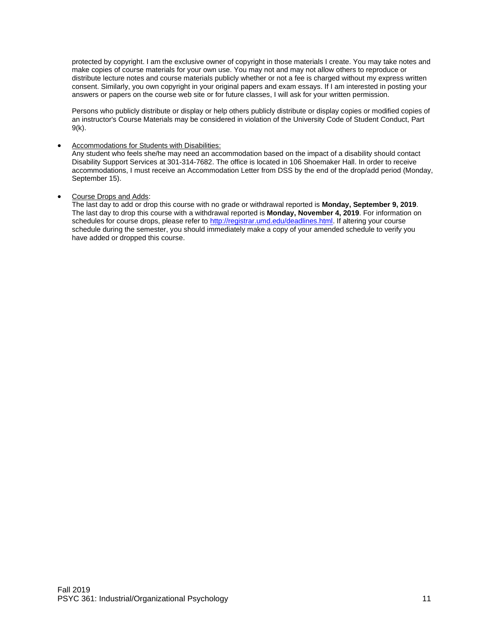protected by copyright. I am the exclusive owner of copyright in those materials I create. You may take notes and make copies of course materials for your own use. You may not and may not allow others to reproduce or distribute lecture notes and course materials publicly whether or not a fee is charged without my express written consent. Similarly, you own copyright in your original papers and exam essays. If I am interested in posting your answers or papers on the course web site or for future classes, I will ask for your written permission.

Persons who publicly distribute or display or help others publicly distribute or display copies or modified copies of an instructor's Course Materials may be considered in violation of the University Code of Student Conduct, Part 9(k).

#### • Accommodations for Students with Disabilities:

Any student who feels she/he may need an accommodation based on the impact of a disability should contact Disability Support Services at 301-314-7682. The office is located in 106 Shoemaker Hall. In order to receive accommodations, I must receive an Accommodation Letter from DSS by the end of the drop/add period (Monday, September 15).

• Course Drops and Adds:

The last day to add or drop this course with no grade or withdrawal reported is **Monday, September 9, 2019**. The last day to drop this course with a withdrawal reported is **Monday, November 4, 2019**. For information on schedules for course drops, please refer to [http://registrar.umd.edu/deadlines.html.](http://registrar.umd.edu/deadlines.html) If altering your course schedule during the semester, you should immediately make a copy of your amended schedule to verify you have added or dropped this course.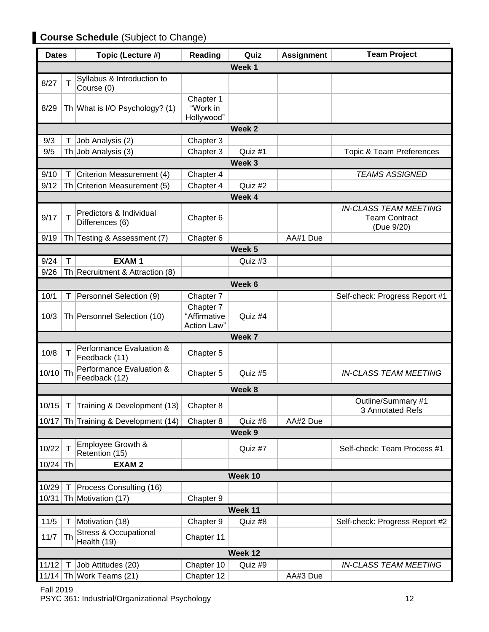# **Course Schedule** (Subject to Change)

| <b>Dates</b>                             |        | Topic (Lecture #)                                   | Reading                                  | Quiz              | <b>Assignment</b> | <b>Team Project</b>                                                |
|------------------------------------------|--------|-----------------------------------------------------|------------------------------------------|-------------------|-------------------|--------------------------------------------------------------------|
| Week 1                                   |        |                                                     |                                          |                   |                   |                                                                    |
| 8/27                                     | т      | Syllabus & Introduction to<br>Course (0)            |                                          |                   |                   |                                                                    |
| 8/29                                     |        | Th What is I/O Psychology? (1)                      | Chapter 1<br>"Work in<br>Hollywood"      |                   |                   |                                                                    |
|                                          |        |                                                     |                                          | Week <sub>2</sub> |                   |                                                                    |
| 9/3                                      | Τ      | Job Analysis (2)                                    | Chapter 3                                |                   |                   |                                                                    |
| 9/5                                      |        | Th Job Analysis (3)                                 | Chapter 3                                | Quiz #1           |                   | <b>Topic &amp; Team Preferences</b>                                |
|                                          |        |                                                     |                                          | Week <sub>3</sub> |                   |                                                                    |
| 9/10                                     | T      | Criterion Measurement (4)                           | Chapter 4                                |                   |                   | <b>TEAMS ASSIGNED</b>                                              |
| 9/12                                     |        | Th Criterion Measurement (5)                        | Chapter 4                                | Quiz #2           |                   |                                                                    |
|                                          |        |                                                     |                                          | Week 4            |                   |                                                                    |
| 9/17                                     | т      | Predictors & Individual<br>Differences (6)          | Chapter 6                                |                   |                   | <b>IN-CLASS TEAM MEETING</b><br><b>Team Contract</b><br>(Due 9/20) |
| 9/19                                     |        | Th Testing & Assessment (7)                         | Chapter 6                                |                   | AA#1 Due          |                                                                    |
|                                          |        |                                                     |                                          | Week <sub>5</sub> |                   |                                                                    |
| 9/24                                     | T      | <b>EXAM1</b>                                        |                                          | Quiz #3           |                   |                                                                    |
| 9/26                                     |        | Th Recruitment & Attraction (8)                     |                                          |                   |                   |                                                                    |
|                                          |        |                                                     |                                          | Week 6            |                   |                                                                    |
| 10/1                                     | т      | Personnel Selection (9)                             | Chapter 7                                |                   |                   | Self-check: Progress Report #1                                     |
| 10/3                                     |        | Th Personnel Selection (10)                         | Chapter 7<br>"Affirmative<br>Action Law" | Quiz #4           |                   |                                                                    |
|                                          |        |                                                     |                                          | Week 7            |                   |                                                                    |
| 10/8                                     | T      | Performance Evaluation &<br>Feedback (11)           | Chapter 5                                |                   |                   |                                                                    |
| $10/10$ Th                               |        | Performance Evaluation &<br>Feedback (12)           | Chapter 5                                | Quiz #5           |                   | <b>IN-CLASS TEAM MEETING</b>                                       |
|                                          | Week 8 |                                                     |                                          |                   |                   |                                                                    |
| 10/15                                    | Τ      | Training & Development (13)                         | Chapter 8                                |                   |                   | Outline/Summary #1<br>3 Annotated Refs                             |
|                                          |        | 10/17 Th Training & Development (14)                | Chapter 8                                | Quiz #6           | AA#2 Due          |                                                                    |
| Week <sub>9</sub>                        |        |                                                     |                                          |                   |                   |                                                                    |
| 10/22                                    | Т      | Employee Growth &<br>Retention (15)                 |                                          | Quiz #7           |                   | Self-check: Team Process #1                                        |
| $10/24$ Th                               |        | <b>EXAM2</b>                                        |                                          |                   |                   |                                                                    |
| Week 10                                  |        |                                                     |                                          |                   |                   |                                                                    |
| 10/29                                    | T      | Process Consulting (16)                             |                                          |                   |                   |                                                                    |
| Th Motivation (17)<br>10/31<br>Chapter 9 |        |                                                     |                                          |                   |                   |                                                                    |
|                                          |        |                                                     |                                          | Week 11           |                   |                                                                    |
| $11/5$                                   | Τ      | Motivation (18)<br><b>Stress &amp; Occupational</b> | Chapter 9                                | Quiz #8           |                   | Self-check: Progress Report #2                                     |
| 11/7                                     | Th     | Health (19)                                         | Chapter 11                               |                   |                   |                                                                    |
| Week 12                                  |        |                                                     |                                          |                   |                   |                                                                    |
| 11/12                                    | T      | Job Attitudes (20)                                  | Chapter 10                               | Quiz #9           |                   | <b>IN-CLASS TEAM MEETING</b>                                       |
|                                          |        | 11/14 Th Work Teams $(21)$                          | Chapter 12                               |                   | AA#3 Due          |                                                                    |